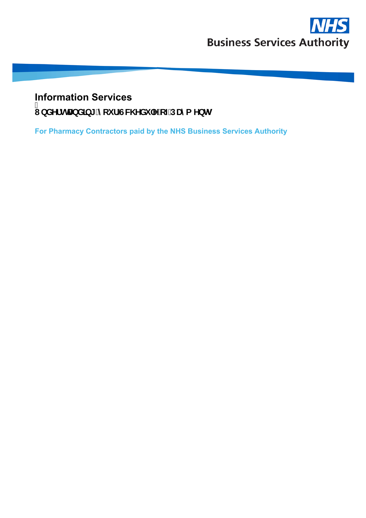

## **Information Services**

:<br>. IbXYfgHJbX]b[ˈmcifˈGWIYXi `YˈcZDUmaIYbhg

**For Pharmacy Contractors paid by the NHS Business Services Authority**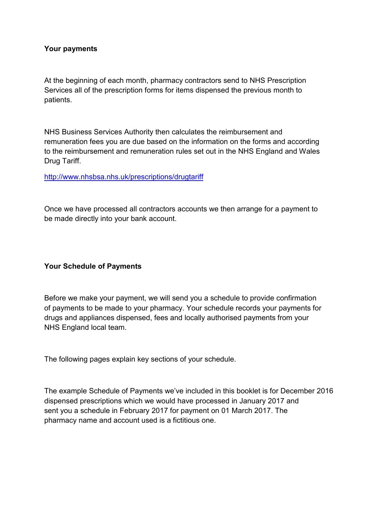### **Your payments**

At the beginning of each month, pharmacy contractors send to NHS Prescription Services all of the prescription forms for items dispensed the previous month to patients.

NHS Business Services Authority then calculates the reimbursement and remuneration fees you are due based on the information on the forms and according to the reimbursement and remuneration rules set out in the NHS England and Wales Drug Tariff.

<http://www.nhsbsa.nhs.uk/prescriptions/drugtariff>

Once we have processed all contractors accounts we then arrange for a payment to be made directly into your bank account.

### **Your Schedule of Payments**

Before we make your payment, we will send you a schedule to provide confirmation of payments to be made to your pharmacy. Your schedule records your payments for drugs and appliances dispensed, fees and locally authorised payments from your NHS England local team.

The following pages explain key sections of your schedule.

The example Schedule of Payments we've included in this booklet is for December 2016 dispensed prescriptions which we would have processed in January 2017 and sent you a schedule in February 2017 for payment on 01 March 2017. The pharmacy name and account used is a fictitious one.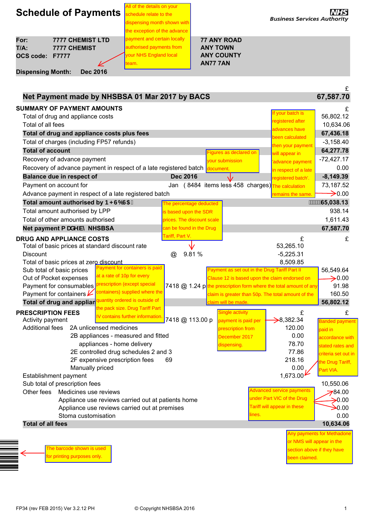| <b>Schedule of Payments</b> |
|-----------------------------|
|-----------------------------|

**For: 7777 CHEMIST LTD T/A: 7777 CHEMIST OCS code: F7777** L

**Dispensing Month: Dec 2016**

All of the details on your schedule relate to the dispensing month shown with the exception of the advance payment and certain locally authorised payments from your NHS England local team.

NHS<br>Business Services Authority

 $\overline{a}$ 

#### **77 ANY ROAD ANY TOWN ANY COUNTY AN77 7AN**

| Net Payment made by NHSBSA 01 Mar 2017 by BACS                                                                 |                                                                   |                                                    | 67,587.70                         |
|----------------------------------------------------------------------------------------------------------------|-------------------------------------------------------------------|----------------------------------------------------|-----------------------------------|
| <b>SUMMARY OF PAYMENT AMOUNTS</b>                                                                              |                                                                   |                                                    | £                                 |
| Total of drug and appliance costs                                                                              |                                                                   | f your batch is                                    | 56,802.12                         |
| Total of all fees                                                                                              |                                                                   | registered after<br>advances have                  | 10,634.06                         |
| Total of drug and appliance costs plus fees                                                                    |                                                                   | been calculated                                    | 67,436.18                         |
| Total of charges (including FP57 refunds)                                                                      |                                                                   | then your payment                                  | $-3,158.40$                       |
| <b>Total of account</b>                                                                                        | igures as declared on                                             | will appear in                                     | 64,277.78                         |
| Recovery of advance payment                                                                                    | <b>vour submission</b>                                            | 'advance payment                                   | $-72,427.17$                      |
| Recovery of advance payment in respect of a late registered batch document.                                    |                                                                   | in respect of a late                               | 0.00                              |
| Balance due in respect of                                                                                      | <b>Dec 2016</b>                                                   | registered batch'.                                 | $-8,149.39$                       |
| Payment on account for                                                                                         | Jan (8484 items less 458 charges) The calculation                 |                                                    | 73,187.52                         |
| Advance payment in respect of a late registered batch                                                          |                                                                   | remains the same.                                  | $\rightarrow$ 0.00                |
| Total amount authorised by B <g6 g5<="" td=""><td>The percentage deducted</td><td></td><td>65,038.13</td></g6> | The percentage deducted                                           |                                                    | 65,038.13                         |
| Total amount authorised by LPP                                                                                 | is based upon the SDR                                             |                                                    | 938.14                            |
| Total of other amounts authorised                                                                              | prices. The discount scale                                        |                                                    | 1,611.43                          |
| Net payment a UXY VmNHSBSA                                                                                     | can be found in the Drug                                          |                                                    | 67,587.70                         |
| <b>DRUG AND APPLIANCE COSTS</b>                                                                                | Tariff, Part V.                                                   | £                                                  | £                                 |
| Total of basic prices at standard discount rate                                                                |                                                                   | 53,265.10                                          |                                   |
| <b>Discount</b>                                                                                                | 9.81 %<br>@                                                       | $-5,225.31$                                        |                                   |
| Total of basic prices at zero discount                                                                         |                                                                   | 8,509.85                                           |                                   |
| Payment for containers is paid<br>Sub total of basic prices                                                    |                                                                   | ayment as set out in the Drug Tariff Part II       | 56,549.64                         |
| at a rate of 10p for every<br>Out of Pocket expenses                                                           |                                                                   | Clause 12 is based upon the claim endorsed on      | $\rightarrow 0.00$                |
| prescription (except special<br>Payment for consumables<br>containers) supplied where the                      | 7418 @ 1.24 p the prescription form where the total amount of any |                                                    | 91.98                             |
| Payment for containers $\nu$<br>quantity ordered is outside of                                                 |                                                                   | claim is greater than 50p. The total amount of the | 160.50                            |
| <b>Total of drug and applian</b><br>the pack size. Drug Tariff Part                                            | claim will be made.                                               |                                                    | 56,802.12                         |
| <b>PRESCRIPTION FEES</b><br>V contains further information.                                                    | Single activity                                                   | £                                                  | £                                 |
| Activity payment                                                                                               | 7418 @ 113.00 p<br>payment is paid per                            | $\rightarrow$ 8,382.34                             | <b>Banded payment</b>             |
| <b>Additional fees</b><br>2A unlicensed medicines                                                              | prescription from                                                 | 120.00                                             | paid in                           |
| 2B appliances - measured and fitted                                                                            | December 2017                                                     | 0.00<br>78.70                                      | accordance with                   |
| appliances - home delivery<br>2E controlled drug schedules 2 and 3                                             | dispensing.                                                       | 77.86                                              | stated rates and                  |
| 2F expensive prescription fees                                                                                 | 69                                                                | 218.16                                             | criteria set out in               |
| Manually priced                                                                                                |                                                                   | 0.00                                               | <b>∕the Drug Tariff,</b>          |
| Establishment payment                                                                                          |                                                                   | 1,673.00                                           | Part VIA.                         |
| Sub total of prescription fees                                                                                 |                                                                   |                                                    | 10,550.06                         |
| Medicines use reviews<br>Other fees                                                                            |                                                                   | <b>Advanced service payments</b>                   | 784.00                            |
| Appliance use reviews carried out at patients home                                                             |                                                                   | under Part VIC of the Drug                         | $\rightarrow 0.00$                |
| Appliance use reviews carried out at premises                                                                  |                                                                   | Tariff will appear in these                        | $\rightarrow 0.00$                |
| Stoma customisation                                                                                            |                                                                   | lines.                                             | 0.00                              |
| <b>Total of all fees</b>                                                                                       |                                                                   |                                                    | 10,634.06                         |
|                                                                                                                |                                                                   |                                                    | <b>Any payments for Methadone</b> |
|                                                                                                                |                                                                   | or NMS will appear in the                          |                                   |
| The barcode shown is used                                                                                      |                                                                   | section above if they have                         |                                   |
| for printing purposes only.                                                                                    |                                                                   | been claimed.                                      |                                   |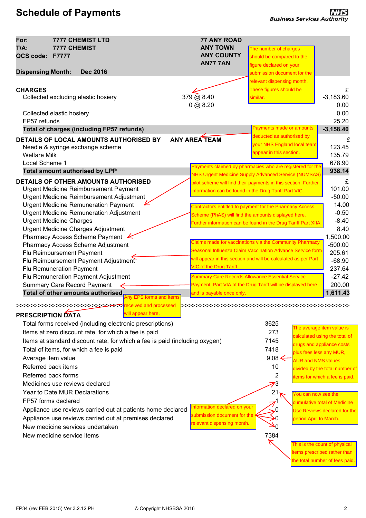# **Schedule of Payments**

| For:<br>T/A:<br>OCS code: F7777                                       | <b>7777 CHEMIST LTD</b><br>7777 CHEMIST                                                                                                                                                                                                                                                                                                                                                                                                                                                                                                                                                                                                                                                                      |                                | <b>77 ANY ROAD</b><br><b>ANY TOWN</b><br><b>ANY COUNTY</b><br><b>AN77 7AN</b>            | The number of charges<br>should be compared to the<br>figure declared on your                                                                                                                                                                                                                                                                                                                                                                                                                                                                                                                                                   |                                                                                                                                                                                                                                                                                                                                                                                                                                         |
|-----------------------------------------------------------------------|--------------------------------------------------------------------------------------------------------------------------------------------------------------------------------------------------------------------------------------------------------------------------------------------------------------------------------------------------------------------------------------------------------------------------------------------------------------------------------------------------------------------------------------------------------------------------------------------------------------------------------------------------------------------------------------------------------------|--------------------------------|------------------------------------------------------------------------------------------|---------------------------------------------------------------------------------------------------------------------------------------------------------------------------------------------------------------------------------------------------------------------------------------------------------------------------------------------------------------------------------------------------------------------------------------------------------------------------------------------------------------------------------------------------------------------------------------------------------------------------------|-----------------------------------------------------------------------------------------------------------------------------------------------------------------------------------------------------------------------------------------------------------------------------------------------------------------------------------------------------------------------------------------------------------------------------------------|
| <b>Dispensing Month:</b>                                              | <b>Dec 2016</b>                                                                                                                                                                                                                                                                                                                                                                                                                                                                                                                                                                                                                                                                                              |                                |                                                                                          | submission document for the                                                                                                                                                                                                                                                                                                                                                                                                                                                                                                                                                                                                     |                                                                                                                                                                                                                                                                                                                                                                                                                                         |
| <b>CHARGES</b>                                                        | Collected excluding elastic hosiery                                                                                                                                                                                                                                                                                                                                                                                                                                                                                                                                                                                                                                                                          |                                | 379 @ 8.40<br>0 @ 8.20                                                                   | relevant dispensing month.<br>These figures should be<br>similar.                                                                                                                                                                                                                                                                                                                                                                                                                                                                                                                                                               | £<br>$-3,183.60$<br>0.00                                                                                                                                                                                                                                                                                                                                                                                                                |
| FP57 refunds                                                          | Collected elastic hosiery                                                                                                                                                                                                                                                                                                                                                                                                                                                                                                                                                                                                                                                                                    |                                |                                                                                          | Payments made or amounts                                                                                                                                                                                                                                                                                                                                                                                                                                                                                                                                                                                                        | 0.00<br>25.20                                                                                                                                                                                                                                                                                                                                                                                                                           |
|                                                                       | <b>Total of charges (including FP57 refunds)</b>                                                                                                                                                                                                                                                                                                                                                                                                                                                                                                                                                                                                                                                             |                                |                                                                                          | deducted as authorised by                                                                                                                                                                                                                                                                                                                                                                                                                                                                                                                                                                                                       | $-3,158.40$                                                                                                                                                                                                                                                                                                                                                                                                                             |
| <b>Welfare Milk</b><br>Local Scheme 1                                 | DETAILS OF LOCAL AMOUNTS AUTHORISED BY<br>Needle & syringe exchange scheme                                                                                                                                                                                                                                                                                                                                                                                                                                                                                                                                                                                                                                   |                                | <b>ANY AREA TEAM</b>                                                                     | your NHS England local team<br>appear in this section.<br>Payments claimed by pharmacies who are registered for the                                                                                                                                                                                                                                                                                                                                                                                                                                                                                                             | £<br>123.45<br>135.79<br>678.90                                                                                                                                                                                                                                                                                                                                                                                                         |
|                                                                       | <b>Total amount authorised by LPP</b>                                                                                                                                                                                                                                                                                                                                                                                                                                                                                                                                                                                                                                                                        |                                |                                                                                          | <b>NHS Urgent Medicine Supply Advanced Service (NUMSAS)</b>                                                                                                                                                                                                                                                                                                                                                                                                                                                                                                                                                                     | 938.14                                                                                                                                                                                                                                                                                                                                                                                                                                  |
|                                                                       | <b>DETAILS OF OTHER AMOUNTS AUTHORISED</b><br>Urgent Medicine Reimbursement Payment<br>Urgent Medicine Reimbursement Adjustment<br><b>Urgent Medicine Remuneration Payment</b><br><b>Urgent Medicine Remuneration Adjustment</b><br><b>Urgent Medicine Charges</b><br>Urgent Medicine Charges Adjustment<br><b>Pharmacy Access Scheme Payment</b><br>Pharmacy Access Scheme Adjustment<br>Flu Reimbursement Payment<br>Flu Reimbursement Payment Adjustment<br>Flu Remuneration Payment<br>Flu Remuneration Payment Adjustment<br><b>Summary Care Record Payment</b><br><b>Total of other amounts authorised</b><br>>>>>>>>>>>>>>>>>>>>>>>>> <del>&gt;&gt;&gt;&gt;&gt;&gt;</del> >>>>areceived and processed | <b>Any EPS forms and items</b> | VIC of the Drug Tariff.<br>and is payable once only.                                     | pilot scheme will find their payments in this section. Further<br>information can be found in the Drug Tariff Part VIC.<br>Contractors entitled to payment for the Pharmacy Access<br>Scheme (PhAS) will find the amounts displayed here.<br>Further information can be found in the Drug Tariff Part XIIA.<br>Claims made for vaccinations via the Community Pharmacy<br>Seasonal Influenza Claim Vaccination Advance Service form<br>will appear in this section and will be calculated as per Part<br><b>Summary Care Records Allowance Essential Service</b><br>Payment, Part VIA of the Drug Tariff will be displayed here | £<br>101.00<br>$-50.00$<br>14.00<br>$-0.50$<br>$-8.40$<br>8.40<br>1,500.00<br>$-500.00$<br>205.61<br>$-68.90$<br>237.64<br>$-27.42$<br>200.00<br>1,611.43                                                                                                                                                                                                                                                                               |
| <b>PRESCRIPTION DATA</b><br>Average item value<br>Referred back items | Total forms received (including electronic prescriptions)<br>Items at zero discount rate, for which a fee is paid<br>Items at standard discount rate, for which a fee is paid (including oxygen)<br>Total of items, for which a fee is paid<br>Referred back forms<br>Medicines use reviews declared<br>Year to Date MUR Declarations<br>FP57 forms declared<br>Appliance use reviews carried out at patients home declared<br>Appliance use reviews carried out at premises declared<br>New medicine services undertaken<br>New medicine service items                                                                                                                                                      | will appear here.              | nformation declared on your<br>submission document for the<br>relevant dispensing month. | 3625<br>273<br>7145<br>7418<br>$9.08 \leftarrow$<br>10<br>2<br>21<br>0ج<br>7384                                                                                                                                                                                                                                                                                                                                                                                                                                                                                                                                                 | The average item value is<br>calculated using the total of<br>drugs and appliance costs<br>plus fees less any MUR,<br><b>AUR and NMS values</b><br>divided by the total number of<br>items for which a fee is paid.<br>You can now see the<br>cumulative total of Medicine<br>Use Reviews declared for the<br>period April to March.<br>This is the count of physical<br>items prescribed rather than<br>the total number of fees paid. |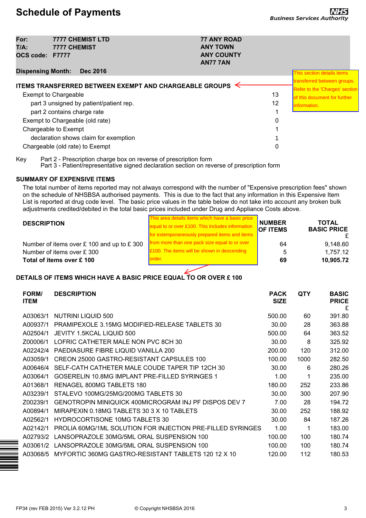## **Schedule of Payments**

| For:<br>$T/A$ :<br>OCS code: F7777 | <b>7777 CHEMIST LTD</b><br><b>7777 CHEMIST</b>                                                                                                                                                                                                                                                         | <b>77 ANY ROAD</b><br><b>ANY TOWN</b><br><b>ANY COUNTY</b><br><b>AN77 7AN</b> |                                                                                                                                         |
|------------------------------------|--------------------------------------------------------------------------------------------------------------------------------------------------------------------------------------------------------------------------------------------------------------------------------------------------------|-------------------------------------------------------------------------------|-----------------------------------------------------------------------------------------------------------------------------------------|
| <b>Dispensing Month:</b>           | <b>Dec 2016</b>                                                                                                                                                                                                                                                                                        |                                                                               | This section details items                                                                                                              |
|                                    | <b>ITEMS TRANSFERRED BETWEEN EXEMPT AND CHARGEABLE GROUPS</b><br>Exempt to Chargeable<br>part 3 unsigned by patient/patient rep.<br>part 2 contains charge rate<br>Exempt to Chargeable (old rate)<br>Chargeable to Exempt<br>declaration shows claim for exemption<br>Chargeable (old rate) to Exempt |                                                                               | transferred between groups.  <br><b>Refer to the 'Charges' section</b><br>13<br>of this document for further<br>12<br>information.<br>0 |

Key Part 2 - Prescription charge box on reverse of prescription form

Part 3 - Patient/representative signed declaration section on reverse of prescription form

#### **SUMMARY OF EXPENSIVE ITEMS**

The total number of items reported may not always correspond with the number of "Expensive prescription fees" shown on the schedule of NHSBSA authorised payments. This is due to the fact that any information in this Expensive Item List is reported at drug code level. The basic price values in the table below do not take into account any broken bulk adjustments credited/debited in the total basic prices included under Drug and Appliance Costs above.

#### **DESCRIPTION**

Number of items over  $£$  100 and up to  $£$  3 Number of items over £300 Total of items over £100

|    | This area details items which have a basic price<br>equal to or over £100. This includes information<br>for extemporaneously prepared items and items | <b>NUMBER</b><br><b>OF ITEMS</b> | <b>TOTAL</b><br><b>BASIC PRICE</b> |
|----|-------------------------------------------------------------------------------------------------------------------------------------------------------|----------------------------------|------------------------------------|
| 00 | from more than one pack size equal to or over                                                                                                         | 64                               | 9,148.60                           |
|    | £100. The items will be shown in descending                                                                                                           |                                  | 1,757.12                           |
|    | order.                                                                                                                                                | 69                               | 10,905.72                          |

### **DETAILS OF ITEMS WHICH HAVE A BASIC PRICE EQUAL TO OR OVER £ 100**

| FORM/<br><b>ITEM</b> | <b>DESCRIPTION</b>                                                | <b>PACK</b><br><b>SIZE</b> | <b>QTY</b> | <b>BASIC</b><br><b>PRICE</b><br>£ |
|----------------------|-------------------------------------------------------------------|----------------------------|------------|-----------------------------------|
| A03063/1             | NUTRINI LIQUID 500                                                | 500.00                     | 60         | 391.80                            |
| A00937/1             | PRAMIPEXOLE 3.15MG MODIFIED-RELEASE TABLETS 30                    | 30.00                      | 28         | 363.88                            |
| A02504/1             | JEVITY 1.5KCAL LIQUID 500                                         | 500.00                     | 64         | 363.52                            |
| Z00006/1             | LOFRIC CATHETER MALE NON PVC 8CH 30                               | 30.00                      | 8          | 325.92                            |
| A02242/4             | PAEDIASURE FIBRE LIQUID VANILLA 200                               | 200.00                     | 120        | 312.00                            |
| A03059/1             | CREON 25000 GASTRO-RESISTANT CAPSULES 100                         | 100.00                     | 1000       | 282.50                            |
| A00646/4             | SELF-CATH CATHETER MALE COUDE TAPER TIP 12CH 30                   | 30.00                      | 6          | 280.26                            |
| A03064/1             | GOSERELIN 10.8MG IMPLANT PRE-FILLED SYRINGES 1                    | 1.00                       | 1          | 235.00                            |
| A01368/1             | RENAGEL 800MG TABLETS 180                                         | 180.00                     | 252        | 233.86                            |
| A03239/1             | STALEVO 100MG/25MG/200MG TABLETS 30                               | 30.00                      | 300        | 207.90                            |
| Z00239/1             | GENOTROPIN MINIQUICK 400MICROGRAM INJ PF DISPOS DEV 7             | 7.00                       | 28         | 194.72                            |
| A00894/1             | MIRAPEXIN 0.18MG TABLETS 30 3 X 10 TABLETS                        | 30.00                      | 252        | 188.92                            |
| A02562/1             | <b>HYDROCORTISONE 10MG TABLETS 30</b>                             | 30.00                      | 84         | 187.26                            |
| A02142/1             | <b>PROLIA 60MG/1ML SOLUTION FOR INJECTION PRE-FILLED SYRINGES</b> | 1.00                       | 1          | 183.00                            |
| A02793/2             | LANSOPRAZOLE 30MG/5ML ORAL SUSPENSION 100                         | 100.00                     | 100        | 180.74                            |
| A03061/2             | LANSOPRAZOLE 30MG/5ML ORAL SUSPENSION 100                         | 100.00                     | 100        | 180.74                            |
| A03068/5             | MYFORTIC 360MG GASTRO-RESISTANT TABLETS 120 12 X 10               | 120.00                     | 112        | 180.53                            |
|                      |                                                                   |                            |            |                                   |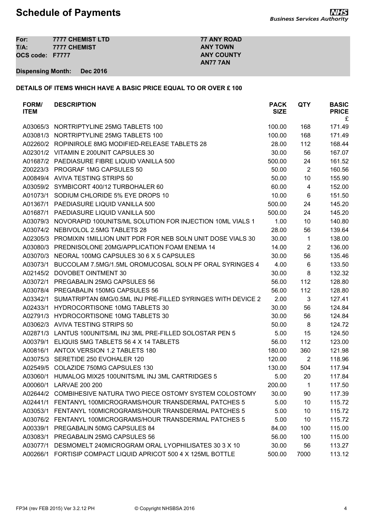| <b>7777 CHEMIST LTD</b> | <b>77 ANY ROAD</b>              |
|-------------------------|---------------------------------|
|                         | <b>ANY TOWN</b>                 |
|                         | <b>ANY COUNTY</b>               |
|                         | AN77 7AN                        |
|                         | 7777 CHEMIST<br>OCS code: F7777 |

#### **Dispensing Month: Dec 2016**

### **DETAILS OF ITEMS WHICH HAVE A BASIC PRICE EQUAL TO OR OVER £ 100**

| FORM/<br><b>ITEM</b> | <b>DESCRIPTION</b>                                                   | <b>PACK</b><br><b>SIZE</b> | <b>QTY</b>     | <b>BASIC</b><br><b>PRICE</b><br>£ |
|----------------------|----------------------------------------------------------------------|----------------------------|----------------|-----------------------------------|
|                      | A03065/3 NORTRIPTYLINE 25MG TABLETS 100                              | 100.00                     | 168            | 171.49                            |
|                      | A03081/3 NORTRIPTYLINE 25MG TABLETS 100                              | 100.00                     | 168            | 171.49                            |
|                      | A02260/2 ROPINIROLE 8MG MODIFIED-RELEASE TABLETS 28                  | 28.00                      | 112            | 168.44                            |
|                      | A02301/2 VITAMIN E 200UNIT CAPSULES 30                               | 30.00                      | 56             | 167.07                            |
|                      | A01687/2 PAEDIASURE FIBRE LIQUID VANILLA 500                         | 500.00                     | 24             | 161.52                            |
|                      | Z00223/3 PROGRAF 1MG CAPSULES 50                                     | 50.00                      | 2              | 160.56                            |
|                      | A00849/4 AVIVA TESTING STRIPS 50                                     | 50.00                      | 10             | 155.90                            |
|                      | A03059/2 SYMBICORT 400/12 TURBOHALER 60                              | 60.00                      | $\overline{4}$ | 152.00                            |
|                      | A01073/1 SODIUM CHLORIDE 5% EYE DROPS 10                             | 10.00                      | 6              | 151.50                            |
| A01367/1             | PAEDIASURE LIQUID VANILLA 500                                        | 500.00                     | 24             | 145.20                            |
|                      | A01687/1 PAEDIASURE LIQUID VANILLA 500                               | 500.00                     | 24             | 145.20                            |
|                      | A03079/3 NOVORAPID 100UNITS/ML SOLUTION FOR INJECTION 10ML VIALS 1   | 1.00                       | 10             | 140.80                            |
|                      | A03074/2 NEBIVOLOL 2.5MG TABLETS 28                                  | 28.00                      | 56             | 139.64                            |
|                      | A02305/3 PROMIXIN 1MILLION UNIT PDR FOR NEB SOLN UNIT DOSE VIALS 30  | 30.00                      | $\mathbf{1}$   | 138.00                            |
|                      | A03080/3 PREDNISOLONE 20MG/APPLICATION FOAM ENEMA 14                 | 14.00                      | $\overline{2}$ | 136.00                            |
|                      | A03070/3 NEORAL 100MG CAPSULES 30 6 X 5 CAPSULES                     | 30.00                      | 56             | 135.46                            |
|                      | A03073/1 BUCCOLAM 7.5MG/1.5ML OROMUCOSAL SOLN PF ORAL SYRINGES 4     | 4.00                       | 6              | 133.50                            |
|                      | A02145/2 DOVOBET OINTMENT 30                                         | 30.00                      | 8              | 132.32                            |
|                      | A03072/1 PREGABALIN 25MG CAPSULES 56                                 | 56.00                      | 112            | 128.80                            |
|                      | A03078/4 PREGABALIN 150MG CAPSULES 56                                | 56.00                      | 112            | 128.80                            |
|                      | A03342/1 SUMATRIPTAN 6MG/0.5ML INJ PRE-FILLED SYRINGES WITH DEVICE 2 | 2.00                       | 3              | 127.41                            |
| A02433/1             | HYDROCORTISONE 10MG TABLETS 30                                       | 30.00                      | 56             | 124.84                            |
|                      | A02791/3 HYDROCORTISONE 10MG TABLETS 30                              | 30.00                      | 56             | 124.84                            |
|                      | A03062/3 AVIVA TESTING STRIPS 50                                     | 50.00                      | 8              | 124.72                            |
|                      | A02871/3 LANTUS 100UNITS/ML INJ 3ML PRE-FILLED SOLOSTAR PEN 5        | 5.00                       | 15             | 124.50                            |
|                      | A00379/1 ELIQUIS 5MG TABLETS 56 4 X 14 TABLETS                       | 56.00                      | 112            | 123.00                            |
|                      | A00816/1 ANTOX VERSION 1.2 TABLETS 180                               | 180.00                     | 360            | 121.98                            |
|                      | A03075/3 SERETIDE 250 EVOHALER 120                                   | 120.00                     | $\overline{2}$ | 118.96                            |
|                      | A02549/5 COLAZIDE 750MG CAPSULES 130                                 | 130.00                     | 504            | 117.94                            |
|                      | A03060/1 HUMALOG MIX25 100UNITS/ML INJ 3ML CARTRIDGES 5              | 5.00                       | 20             | 117.84                            |
| A00060/1             | <b>LARVAE 200 200</b>                                                | 200.00                     | 1              | 117.50                            |
|                      | A02644/2 COMBIHESIVE NATURA TWO PIECE OSTOMY SYSTEM COLOSTOMY        | 30.00                      | 90             | 117.39                            |
|                      | A02441/1 FENTANYL 100MICROGRAMS/HOUR TRANSDERMAL PATCHES 5           | 5.00                       | 10             | 115.72                            |
|                      | A03053/1 FENTANYL 100MICROGRAMS/HOUR TRANSDERMAL PATCHES 5           | 5.00                       | 10             | 115.72                            |
|                      | A03076/2 FENTANYL 100MICROGRAMS/HOUR TRANSDERMAL PATCHES 5           | 5.00                       | 10             | 115.72                            |
| A00339/1             | PREGABALIN 50MG CAPSULES 84                                          | 84.00                      | 100            | 115.00                            |
| A03083/1             | PREGABALIN 25MG CAPSULES 56                                          | 56.00                      | 100            | 115.00                            |
| A03077/1             | DESMOMELT 240MICROGRAM ORAL LYOPHILISATES 30 3 X 10                  | 30.00                      | 56             | 113.27                            |
| A00266/1             | FORTISIP COMPACT LIQUID APRICOT 500 4 X 125ML BOTTLE                 | 500.00                     | 7000           | 113.12                            |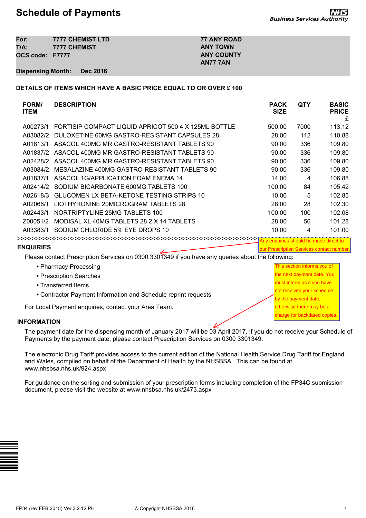| For:            | <b>7777 CHEMIST LTD</b> | <b>77 ANY ROAD</b> |
|-----------------|-------------------------|--------------------|
| T/A:            | <b>7777 CHEMIST</b>     | <b>ANY TOWN</b>    |
| OCS code: F7777 |                         | <b>ANY COUNTY</b>  |
|                 |                         | AN77 7AN           |
|                 |                         |                    |

#### **Dispensing Month: Dec 2016**

#### **DETAILS OF ITEMS WHICH HAVE A BASIC PRICE EQUAL TO OR OVER £ 100**

| <b>FORM/</b><br><b>ITEM</b> | <b>DESCRIPTION</b>                                   | <b>PACK</b><br><b>SIZE</b>             | <b>QTY</b> | <b>BASIC</b><br><b>PRICE</b><br>£ |
|-----------------------------|------------------------------------------------------|----------------------------------------|------------|-----------------------------------|
| A00273/1                    | FORTISIP COMPACT LIQUID APRICOT 500 4 X 125ML BOTTLE | 500.00                                 | 7000       | 113.12                            |
| A03082/2                    | DULOXETINE 60MG GASTRO-RESISTANT CAPSULES 28         | 28.00                                  | 112        | 110.88                            |
| A01813/1                    | ASACOL 400MG MR GASTRO-RESISTANT TABLETS 90          | 90.00                                  | 336        | 109.80                            |
|                             | A01837/2 ASACOL 400MG MR GASTRO-RESISTANT TABLETS 90 | 90.00                                  | 336        | 109.80                            |
| A02428/2                    | ASACOL 400MG MR GASTRO-RESISTANT TABLETS 90          | 90.00                                  | 336        | 109.80                            |
| A03084/2                    | MESALAZINE 400MG GASTRO-RESISTANT TABLETS 90         | 90.00                                  | 336        | 109.80                            |
| A01837/1                    | ASACOL 1G/APPLICATION FOAM ENEMA 14                  | 14.00                                  | 4          | 106.88                            |
| A02414/2                    | SODIUM BICARBONATE 600MG TABLETS 100                 | 100.00                                 | 84         | 105.42                            |
| A02618/3                    | GLUCOMEN LX BETA-KETONE TESTING STRIPS 10            | 10.00                                  | 5          | 102.85                            |
| A02066/1                    | LIOTHYRONINE 20MICROGRAM TABLETS 28                  | 28.00                                  | 28         | 102.30                            |
| A02443/1                    | NORTRIPTYLINE 25MG TABLETS 100                       | 100.00                                 | 100        | 102.08                            |
| Z00051/2                    | MODISAL XL 40MG TABLETS 28 2 X 14 TABLETS            | 28.00                                  | 56         | 101.28                            |
| A03383/1                    | SODIUM CHLORIDE 5% EYE DROPS 10                      | 10.00                                  | 4          | 101.00                            |
|                             |                                                      | Any enquiries should be made direct to |            |                                   |

#### **ENQUIRIES**

Please contact Prescription Services on 0300 3301349 if you have any queries about the following:

- **•** Pharmacy Processing
- **•** Prescription Searches
- **•** Transferred Items
- **•** Contractor Payment Information and Schedule reprint requests

For Local Payment enquiries, contact your Area Team.

#### **INFORMATION**

The payment date for the dispensing month of January 2017 will be 03 April 2017, If you do not receive your Schedule of Payments by the payment date, please contact Prescription Services on 0300 3301349.

The electronic Drug Tariff provides access to the current edition of the National Health Service Drug Tariff for England and Wales, compiled on behalf of the Department of Health by the NHSBSA. This can be found at www.nhsbsa.nhs.uk/924.aspx

For guidance on the sorting and submission of your prescription forms including completion of the FP34C submission document, please visit the website at www.nhsbsa.nhs.uk/2473.aspx

This section informs you of the next payment date. You must inform us if you have not received your schedule by the payment date, otherwise there may be a charge for backdated copies

our Prescription Services contact number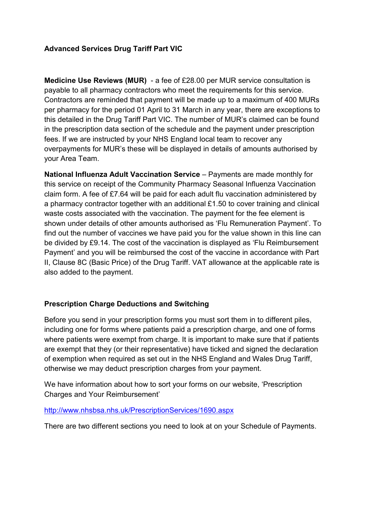### **Advanced Services Drug Tariff Part VIC**

**Medicine Use Reviews (MUR)** - a fee of £28.00 per MUR service consultation is payable to all pharmacy contractors who meet the requirements for this service. Contractors are reminded that payment will be made up to a maximum of 400 MURs per pharmacy for the period 01 April to 31 March in any year, there are exceptions to this detailed in the Drug Tariff Part VIC. The number of MUR's claimed can be found in the prescription data section of the schedule and the payment under prescription fees. If we are instructed by your NHS England local team to recover any overpayments for MUR's these will be displayed in details of amounts authorised by your Area Team.

**National Influenza Adult Vaccination Service** – Payments are made monthly for this service on receipt of the Community Pharmacy Seasonal Influenza Vaccination claim form. A fee of £7.64 will be paid for each adult flu vaccination administered by a pharmacy contractor together with an additional £1.50 to cover training and clinical waste costs associated with the vaccination. The payment for the fee element is shown under details of other amounts authorised as 'Flu Remuneration Payment'. To find out the number of vaccines we have paid you for the value shown in this line can be divided by £9.14. The cost of the vaccination is displayed as 'Flu Reimbursement Payment' and you will be reimbursed the cost of the vaccine in accordance with Part II, Clause 8C (Basic Price) of the Drug Tariff. VAT allowance at the applicable rate is also added to the payment.

### **Prescription Charge Deductions and Switching**

Before you send in your prescription forms you must sort them in to different piles, including one for forms where patients paid a prescription charge, and one of forms where patients were exempt from charge. It is important to make sure that if patients are exempt that they (or their representative) have ticked and signed the declaration of exemption when required as set out in the NHS England and Wales Drug Tariff, otherwise we may deduct prescription charges from your payment.

We have information about how to sort your forms on our website, 'Prescription Charges and Your Reimbursement'

### <http://www.nhsbsa.nhs.uk/PrescriptionServices/1690.aspx>

There are two different sections you need to look at on your Schedule of Payments.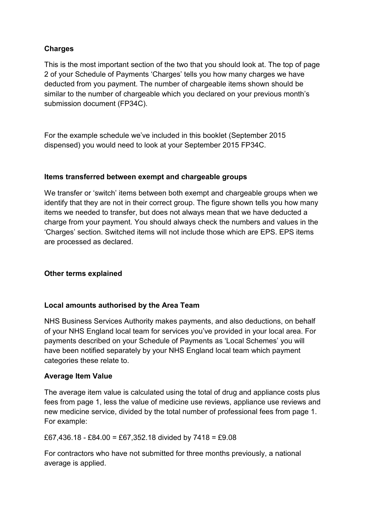## **Charges**

This is the most important section of the two that you should look at. The top of page 2 of your Schedule of Payments 'Charges' tells you how many charges we have deducted from you payment. The number of chargeable items shown should be similar to the number of chargeable which you declared on your previous month's submission document (FP34C).

For the example schedule we've included in this booklet (September 2015 dispensed) you would need to look at your September 2015 FP34C.

### **Items transferred between exempt and chargeable groups**

We transfer or 'switch' items between both exempt and chargeable groups when we identify that they are not in their correct group. The figure shown tells you how many items we needed to transfer, but does not always mean that we have deducted a charge from your payment. You should always check the numbers and values in the 'Charges' section. Switched items will not include those which are EPS. EPS items are processed as declared.

### **Other terms explained**

### **Local amounts authorised by the Area Team**

NHS Business Services Authority makes payments, and also deductions, on behalf of your NHS England local team for services you've provided in your local area. For payments described on your Schedule of Payments as 'Local Schemes' you will have been notified separately by your NHS England local team which payment categories these relate to.

### **Average Item Value**

The average item value is calculated using the total of drug and appliance costs plus fees from page 1, less the value of medicine use reviews, appliance use reviews and new medicine service, divided by the total number of professional fees from page 1. For example:

£67,436.18 - £84.00 = £67,352.18 divided by 7418 = £9.08

For contractors who have not submitted for three months previously, a national average is applied.